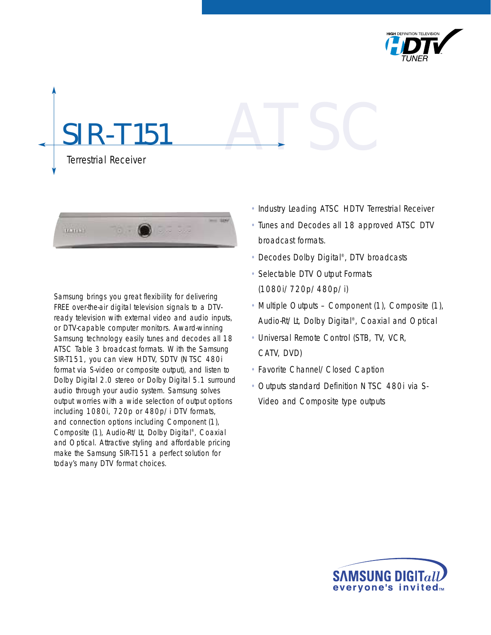

# **151** Terrestrial Receiver ATSC



Samsung brings you great flexibility for delivering FREE over-the-air digital television signals to a DTVready television with external video and audio inputs, or DTV-capable computer monitors. Award-winning Samsung technology easily tunes and decodes all 18 ATSC Table 3 broadcast formats. With the Samsung SIR-T151, you can view HDTV, SDTV (NTSC 480i format via S-video or composite output), and listen to Dolby Digital 2.0 stereo or Dolby Digital 5.1 surround audio through your audio system. Samsung solves output worries with a wide selection of output options including 1080i, 720p or 480p/i DTV formats, and connection options including Component (1), Composite (1), Audio-Rt/Lt, Dolby Digital®, Coaxial and Optical. Attractive styling and affordable pricing make the Samsung SIR-T151 a perfect solution for today's many DTV format choices.

- Industry Leading ATSC HDTV Terrestrial Receiver
- Tunes and Decodes all 18 approved ATSC DTV broadcast formats.
- Decodes Dolby Digital®, DTV broadcasts
- Selectable DTV Output Formats (1080i/720p/480p/i)
- Multiple Outputs Component (1), Composite (1), Audio-Rt/Lt, Dolby Digital®, Coaxial and Optical
- Universal Remote Control (STB, TV, VCR, CATV, DVD)
- Favorite Channel/Closed Caption
- Outputs standard Definition NTSC 480i via S-Video and Composite type outputs